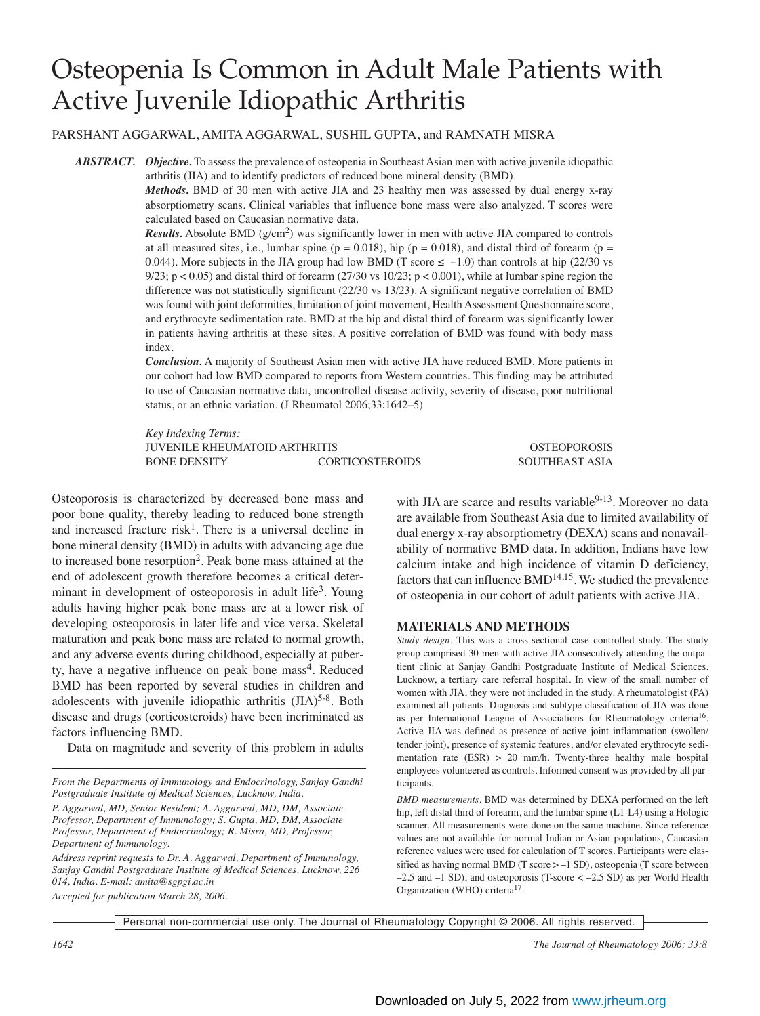# Osteopenia Is Common in Adult Male Patients with Active Juvenile Idiopathic Arthritis

PARSHANT AGGARWAL, AMITA AGGARWAL, SUSHIL GUPTA, and RAMNATH MISRA

*ABSTRACT. Objective.* To assess the prevalence of osteopenia in Southeast Asian men with active juvenile idiopathic arthritis (JIA) and to identify predictors of reduced bone mineral density (BMD).

> *Methods.* BMD of 30 men with active JIA and 23 healthy men was assessed by dual energy x-ray absorptiometry scans. Clinical variables that influence bone mass were also analyzed. T scores were calculated based on Caucasian normative data.

> *Results.* Absolute BMD ( $g/cm<sup>2</sup>$ ) was significantly lower in men with active JIA compared to controls at all measured sites, i.e., lumbar spine ( $p = 0.018$ ), hip ( $p = 0.018$ ), and distal third of forearm ( $p =$ 0.044). More subjects in the JIA group had low BMD (T score  $\leq -1.0$ ) than controls at hip (22/30 vs 9/23;  $p < 0.05$ ) and distal third of forearm (27/30 vs 10/23;  $p < 0.001$ ), while at lumbar spine region the difference was not statistically significant (22/30 vs 13/23). A significant negative correlation of BMD was found with joint deformities, limitation of joint movement, Health Assessment Questionnaire score, and erythrocyte sedimentation rate. BMD at the hip and distal third of forearm was significantly lower in patients having arthritis at these sites. A positive correlation of BMD was found with body mass index.

> *Conclusion.* A majority of Southeast Asian men with active JIA have reduced BMD. More patients in our cohort had low BMD compared to reports from Western countries. This finding may be attributed to use of Caucasian normative data, uncontrolled disease activity, severity of disease, poor nutritional status, or an ethnic variation. (J Rheumatol 2006;33:1642–5)

> *Key Indexing Terms:* JUVENILE RHEUMATOID ARTHRITIS OSTEOPOROSIS BONE DENSITY CORTICOSTEROIDS SOUTHEAST ASIA

Osteoporosis is characterized by decreased bone mass and poor bone quality, thereby leading to reduced bone strength and increased fracture risk<sup>1</sup>. There is a universal decline in bone mineral density (BMD) in adults with advancing age due to increased bone resorption2. Peak bone mass attained at the end of adolescent growth therefore becomes a critical determinant in development of osteoporosis in adult life<sup>3</sup>. Young adults having higher peak bone mass are at a lower risk of developing osteoporosis in later life and vice versa. Skeletal maturation and peak bone mass are related to normal growth, and any adverse events during childhood, especially at puberty, have a negative influence on peak bone mass<sup>4</sup>. Reduced BMD has been reported by several studies in children and adolescents with juvenile idiopathic arthritis  $(IIA)^{5-8}$ . Both disease and drugs (corticosteroids) have been incriminated as factors influencing BMD.

Data on magnitude and severity of this problem in adults

*From the Departments of Immunology and Endocrinology, Sanjay Gandhi Postgraduate Institute of Medical Sciences, Lucknow, India.*

*Accepted for publication March 28, 2006.*

with JIA are scarce and results variable $9-13$ . Moreover no data are available from Southeast Asia due to limited availability of dual energy x-ray absorptiometry (DEXA) scans and nonavailability of normative BMD data. In addition, Indians have low calcium intake and high incidence of vitamin D deficiency, factors that can influence  $BMD^{14,15}$ . We studied the prevalence of osteopenia in our cohort of adult patients with active JIA.

### **MATERIALS AND METHODS**

*Study design.* This was a cross-sectional case controlled study. The study group comprised 30 men with active JIA consecutively attending the outpatient clinic at Sanjay Gandhi Postgraduate Institute of Medical Sciences, Lucknow, a tertiary care referral hospital. In view of the small number of women with JIA, they were not included in the study. A rheumatologist (PA) examined all patients. Diagnosis and subtype classification of JIA was done as per International League of Associations for Rheumatology criteria<sup>16</sup>. Active JIA was defined as presence of active joint inflammation (swollen/ tender joint), presence of systemic features, and/or elevated erythrocyte sedimentation rate (ESR) > 20 mm/h. Twenty-three healthy male hospital employees volunteered as controls. Informed consent was provided by all participants.

*BMD measurements.* BMD was determined by DEXA performed on the left hip, left distal third of forearm, and the lumbar spine (L1-L4) using a Hologic scanner. All measurements were done on the same machine. Since reference values are not available for normal Indian or Asian populations, Caucasian reference values were used for calculation of T scores. Participants were classified as having normal BMD (T score > –1 SD), osteopenia (T score between  $-2.5$  and  $-1$  SD), and osteoporosis (T-score  $<-2.5$  SD) as per World Health Organization (WHO) criteria<sup>17</sup>.

Personal non-commercial use only. The Journal of Rheumatology Copyright © 2006. All rights reserved.

*1642 The Journal of Rheumatology 2006; 33:8*

*P. Aggarwal, MD, Senior Resident; A. Aggarwal, MD, DM, Associate Professor, Department of Immunology; S. Gupta, MD, DM, Associate Professor, Department of Endocrinology; R. Misra, MD, Professor, Department of Immunology.*

*Address reprint requests to Dr. A. Aggarwal, Department of Immunology, Sanjay Gandhi Postgraduate Institute of Medical Sciences, Lucknow, 226 014, India. E-mail: amita@sgpgi.ac.in*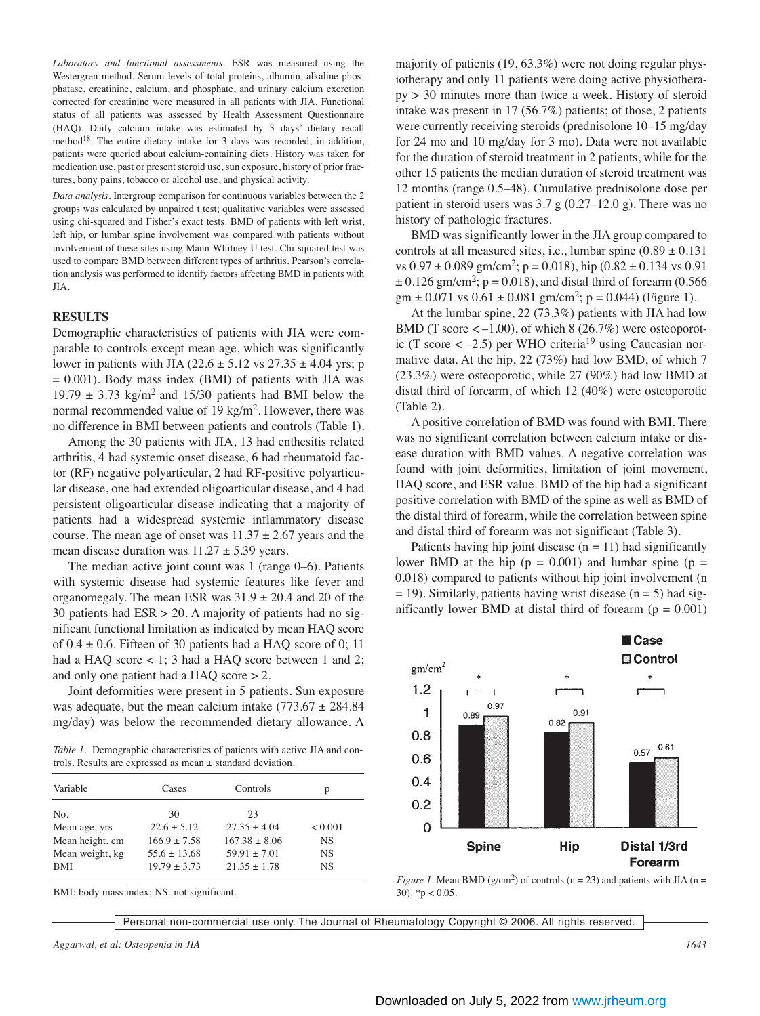*Laboratory and functional assessments.* ESR was measured using the Westergren method. Serum levels of total proteins, albumin, alkaline phosphatase, creatinine, calcium, and phosphate, and urinary calcium excretion corrected for creatinine were measured in all patients with JIA. Functional status of all patients was assessed by Health Assessment Questionnaire (HAQ). Daily calcium intake was estimated by 3 days' dietary recall method<sup>18</sup>. The entire dietary intake for 3 days was recorded; in addition, patients were queried about calcium-containing diets. History was taken for medication use, past or present steroid use, sun exposure, history of prior fractures, bony pains, tobacco or alcohol use, and physical activity.

*Data analysis.* Intergroup comparison for continuous variables between the 2 groups was calculated by unpaired t test; qualitative variables were assessed using chi-squared and Fisher's exact tests. BMD of patients with left wrist, left hip, or lumbar spine involvement was compared with patients without involvement of these sites using Mann-Whitney U test. Chi-squared test was used to compare BMD between different types of arthritis. Pearson's correlation analysis was performed to identify factors affecting BMD in patients with JIA.

#### **RESULTS**

Demographic characteristics of patients with JIA were comparable to controls except mean age, which was significantly lower in patients with JIA (22.6  $\pm$  5.12 vs 27.35  $\pm$  4.04 yrs; p  $= 0.001$ ). Body mass index (BMI) of patients with JIA was 19.79  $\pm$  3.73 kg/m<sup>2</sup> and 15/30 patients had BMI below the normal recommended value of 19 kg/m<sup>2</sup>. However, there was no difference in BMI between patients and controls (Table 1).

Among the 30 patients with JIA, 13 had enthesitis related arthritis, 4 had systemic onset disease, 6 had rheumatoid factor (RF) negative polyarticular, 2 had RF-positive polyarticular disease, one had extended oligoarticular disease, and 4 had persistent oligoarticular disease indicating that a majority of patients had a widespread systemic inflammatory disease course. The mean age of onset was  $11.37 \pm 2.67$  years and the mean disease duration was  $11.27 \pm 5.39$  years.

The median active joint count was 1 (range 0–6). Patients with systemic disease had systemic features like fever and organomegaly. The mean ESR was  $31.9 \pm 20.4$  and 20 of the 30 patients had  $ESR > 20$ . A majority of patients had no significant functional limitation as indicated by mean HAQ score of  $0.4 \pm 0.6$ . Fifteen of 30 patients had a HAQ score of 0; 11 had a HAQ score < 1; 3 had a HAQ score between 1 and 2; and only one patient had a HAQ score > 2.

Joint deformities were present in 5 patients. Sun exposure was adequate, but the mean calcium intake  $(773.67 \pm 284.84)$ mg/day) was below the recommended dietary allowance. A

*Table 1.* Demographic characteristics of patients with active JIA and controls. Results are expressed as mean ± standard deviation.

| Variable        | Cases            | Controls          | р         |
|-----------------|------------------|-------------------|-----------|
| No.             | 30               | 23                |           |
| Mean age, yrs   | $22.6 \pm 5.12$  | $27.35 \pm 4.04$  | < 0.001   |
| Mean height, cm | $166.9 \pm 7.58$ | $167.38 \pm 8.06$ | <b>NS</b> |
| Mean weight, kg | $55.6 \pm 13.68$ | $59.91 \pm 7.01$  | <b>NS</b> |
| <b>BMI</b>      | $19.79 \pm 3.73$ | $21.35 \pm 1.78$  | <b>NS</b> |

BMI: body mass index; NS: not significant.

majority of patients (19, 63.3%) were not doing regular physiotherapy and only 11 patients were doing active physiotherapy > 30 minutes more than twice a week. History of steroid intake was present in 17 (56.7%) patients; of those, 2 patients were currently receiving steroids (prednisolone 10–15 mg/day for 24 mo and 10 mg/day for 3 mo). Data were not available for the duration of steroid treatment in 2 patients, while for the other 15 patients the median duration of steroid treatment was 12 months (range 0.5–48). Cumulative prednisolone dose per patient in steroid users was  $3.7 \text{ g}$  (0.27–12.0 g). There was no history of pathologic fractures.

BMD was significantly lower in the JIA group compared to controls at all measured sites, i.e., lumbar spine  $(0.89 \pm 0.131)$ vs  $0.97 \pm 0.089$  gm/cm<sup>2</sup>; p = 0.018), hip  $(0.82 \pm 0.134$  vs 0.91  $\pm$  0.126 gm/cm<sup>2</sup>; p = 0.018), and distal third of forearm (0.566 gm  $\pm$  0.071 vs 0.61  $\pm$  0.081 gm/cm<sup>2</sup>; p = 0.044) (Figure 1).

At the lumbar spine, 22 (73.3%) patients with JIA had low BMD (T score  $<-1.00$ ), of which 8 (26.7%) were osteoporotic (T score  $\langle -2.5 \rangle$ ) per WHO criteria<sup>19</sup> using Caucasian normative data. At the hip, 22 (73%) had low BMD, of which 7 (23.3%) were osteoporotic, while 27 (90%) had low BMD at distal third of forearm, of which 12 (40%) were osteoporotic (Table 2).

A positive correlation of BMD was found with BMI. There was no significant correlation between calcium intake or disease duration with BMD values. A negative correlation was found with joint deformities, limitation of joint movement, HAQ score, and ESR value. BMD of the hip had a significant positive correlation with BMD of the spine as well as BMD of the distal third of forearm, while the correlation between spine and distal third of forearm was not significant (Table 3).

Patients having hip joint disease  $(n = 11)$  had significantly lower BMD at the hip ( $p = 0.001$ ) and lumbar spine ( $p =$ 0.018) compared to patients without hip joint involvement (n  $= 19$ ). Similarly, patients having wrist disease (n = 5) had significantly lower BMD at distal third of forearm ( $p = 0.001$ )



*Figure 1.* Mean BMD ( $g/cm<sup>2</sup>$ ) of controls ( $n = 23$ ) and patients with JIA ( $n =$ 30).  $*$ p < 0.05.

Personal non-commercial use only. The Journal of Rheumatology Copyright © 2006. All rights reserved.

*Aggarwal, et al: Osteopenia in JIA 1643*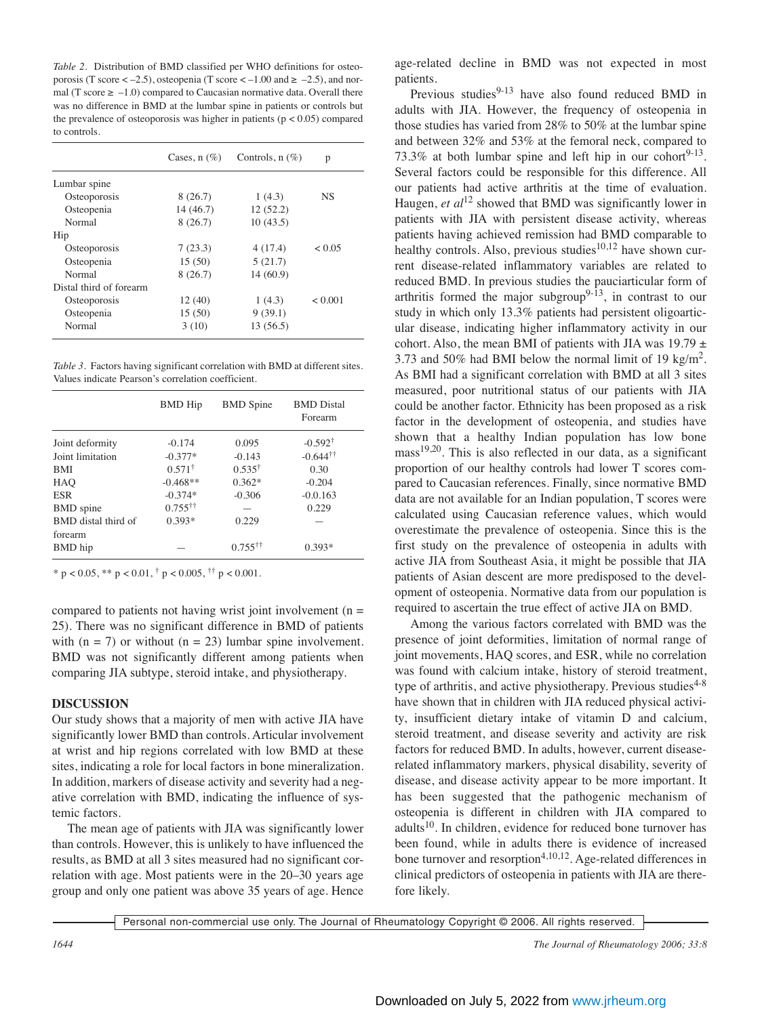*Table 2.* Distribution of BMD classified per WHO definitions for osteoporosis (T score  $<-2.5$ ), osteopenia (T score  $<-1.00$  and  $\geq -2.5$ ), and normal (T score  $\ge -1.0$ ) compared to Caucasian normative data. Overall there was no difference in BMD at the lumbar spine in patients or controls but the prevalence of osteoporosis was higher in patients ( $p < 0.05$ ) compared to controls.

|                         | Cases, $n$ $(\%)$ | Controls, $n$ $(\%)$ | p       |
|-------------------------|-------------------|----------------------|---------|
| Lumbar spine            |                   |                      |         |
| Osteoporosis            | 8(26.7)           | 1(4.3)               | NS      |
| Osteopenia              | 14(46.7)          | 12(52.2)             |         |
| Normal                  | 8(26.7)           | 10(43.5)             |         |
| Hip                     |                   |                      |         |
| Osteoporosis            | 7(23.3)           | 4(17.4)              | < 0.05  |
| Osteopenia              | 15(50)            | 5(21.7)              |         |
| Normal                  | 8(26.7)           | 14(60.9)             |         |
| Distal third of forearm |                   |                      |         |
| Osteoporosis            | 12(40)            | 1(4.3)               | < 0.001 |
| Osteopenia              | 15(50)            | 9(39.1)              |         |
| Normal                  | 3(10)             | 13(56.5)             |         |

*Table 3.* Factors having significant correlation with BMD at different sites. Values indicate Pearson's correlation coefficient.

|                     | <b>BMD</b> Hip           | <b>BMD</b> Spine         | <b>BMD</b> Distal<br>Forearm |
|---------------------|--------------------------|--------------------------|------------------------------|
| Joint deformity     | $-0.174$                 | 0.095                    | $-0.592^{\dagger}$           |
| Joint limitation    | $-0.377*$                | $-0.143$                 | $-0.644$ <sup>††</sup>       |
| BMI                 | $0.571^+$                | $0.535^{\dagger}$        | 0.30                         |
| HAO                 | $-0.468**$               | $0.362*$                 | $-0.204$                     |
| <b>ESR</b>          | $-0.374*$                | $-0.306$                 | $-0.0.163$                   |
| <b>BMD</b> spine    | $0.755^{\dagger\dagger}$ |                          | 0.229                        |
| BMD distal third of | $0.393*$                 | 0.229                    |                              |
| forearm             |                          |                          |                              |
| BMD hip             |                          | $0.755^{\dagger\dagger}$ | $0.393*$                     |

\* p < 0.05, \*\* p < 0.01, † p < 0.005, †† p < 0.001.

compared to patients not having wrist joint involvement  $(n =$ 25). There was no significant difference in BMD of patients with  $(n = 7)$  or without  $(n = 23)$  lumbar spine involvement. BMD was not significantly different among patients when comparing JIA subtype, steroid intake, and physiotherapy.

## **DISCUSSION**

Our study shows that a majority of men with active JIA have significantly lower BMD than controls. Articular involvement at wrist and hip regions correlated with low BMD at these sites, indicating a role for local factors in bone mineralization. In addition, markers of disease activity and severity had a negative correlation with BMD, indicating the influence of systemic factors.

The mean age of patients with JIA was significantly lower than controls. However, this is unlikely to have influenced the results, as BMD at all 3 sites measured had no significant correlation with age. Most patients were in the 20–30 years age group and only one patient was above 35 years of age. Hence age-related decline in BMD was not expected in most patients.

Previous studies $9-13$  have also found reduced BMD in adults with JIA. However, the frequency of osteopenia in those studies has varied from 28% to 50% at the lumbar spine and between 32% and 53% at the femoral neck, compared to 73.3% at both lumbar spine and left hip in our cohort<sup>9-13</sup>. Several factors could be responsible for this difference. All our patients had active arthritis at the time of evaluation. Haugen, *et al*<sup>12</sup> showed that BMD was significantly lower in patients with JIA with persistent disease activity, whereas patients having achieved remission had BMD comparable to healthy controls. Also, previous studies<sup>10,12</sup> have shown current disease-related inflammatory variables are related to reduced BMD. In previous studies the pauciarticular form of arthritis formed the major subgroup<sup>9-13</sup>, in contrast to our study in which only 13.3% patients had persistent oligoarticular disease, indicating higher inflammatory activity in our cohort. Also, the mean BMI of patients with JIA was  $19.79 \pm$ 3.73 and 50% had BMI below the normal limit of 19 kg/m<sup>2</sup>. As BMI had a significant correlation with BMD at all 3 sites measured, poor nutritional status of our patients with JIA could be another factor. Ethnicity has been proposed as a risk factor in the development of osteopenia, and studies have shown that a healthy Indian population has low bone  $mass<sup>19,20</sup>$ . This is also reflected in our data, as a significant proportion of our healthy controls had lower T scores compared to Caucasian references. Finally, since normative BMD data are not available for an Indian population, T scores were calculated using Caucasian reference values, which would overestimate the prevalence of osteopenia. Since this is the first study on the prevalence of osteopenia in adults with active JIA from Southeast Asia, it might be possible that JIA patients of Asian descent are more predisposed to the development of osteopenia. Normative data from our population is required to ascertain the true effect of active JIA on BMD.

Among the various factors correlated with BMD was the presence of joint deformities, limitation of normal range of joint movements, HAQ scores, and ESR, while no correlation was found with calcium intake, history of steroid treatment, type of arthritis, and active physiotherapy. Previous studies<sup> $4-8$ </sup> have shown that in children with JIA reduced physical activity, insufficient dietary intake of vitamin D and calcium, steroid treatment, and disease severity and activity are risk factors for reduced BMD. In adults, however, current diseaserelated inflammatory markers, physical disability, severity of disease, and disease activity appear to be more important. It has been suggested that the pathogenic mechanism of osteopenia is different in children with JIA compared to  $adults<sup>10</sup>$ . In children, evidence for reduced bone turnover has been found, while in adults there is evidence of increased bone turnover and resorption<sup>4,10,12</sup>. Age-related differences in clinical predictors of osteopenia in patients with JIA are therefore likely.

Personal non-commercial use only. The Journal of Rheumatology Copyright © 2006. All rights reserved.